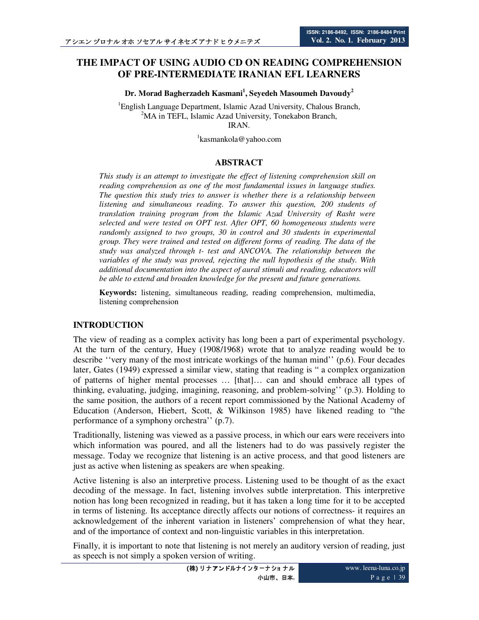# **THE IMPACT OF USING AUDIO CD ON READING COMPREHENSION OF PRE-INTERMEDIATE IRANIAN EFL LEARNERS**

**Dr. Morad Bagherzadeh Kasmani<sup>1</sup> , Seyedeh Masoumeh Davoudy<sup>2</sup>**

<sup>1</sup>English Language Department, Islamic Azad University, Chalous Branch, <sup>2</sup>MA in TEFL, Islamic Azad University, Tonekabon Branch, IRAN.

<sup>1</sup>kasmankola@yahoo.com

### **ABSTRACT**

*This study is an attempt to investigate the effect of listening comprehension skill on reading comprehension as one of the most fundamental issues in language studies. The question this study tries to answer is whether there is a relationship between listening and simultaneous reading. To answer this question, 200 students of translation training program from the Islamic Azad University of Rasht were selected and were tested on OPT test. After OPT, 60 homogeneous students were randomly assigned to two groups, 30 in control and 30 students in experimental group. They were trained and tested on different forms of reading. The data of the study was analyzed through t- test and ANCOVA. The relationship between the variables of the study was proved, rejecting the null hypothesis of the study. With additional documentation into the aspect of aural stimuli and reading, educators will be able to extend and broaden knowledge for the present and future generations.* 

**Keywords:** listening, simultaneous reading, reading comprehension, multimedia, listening comprehension

### **INTRODUCTION**

The view of reading as a complex activity has long been a part of experimental psychology. At the turn of the century, Huey (1908/1968) wrote that to analyze reading would be to describe ''very many of the most intricate workings of the human mind'' (p.6). Four decades later, Gates (1949) expressed a similar view, stating that reading is " a complex organization of patterns of higher mental processes … [that]… can and should embrace all types of thinking, evaluating, judging, imagining, reasoning, and problem-solving'' (p.3). Holding to the same position, the authors of a recent report commissioned by the National Academy of Education (Anderson, Hiebert, Scott, & Wilkinson 1985) have likened reading to "the performance of a symphony orchestra'' (p.7).

Traditionally, listening was viewed as a passive process, in which our ears were receivers into which information was poured, and all the listeners had to do was passively register the message. Today we recognize that listening is an active process, and that good listeners are just as active when listening as speakers are when speaking.

Active listening is also an interpretive process. Listening used to be thought of as the exact decoding of the message. In fact, listening involves subtle interpretation. This interpretive notion has long been recognized in reading, but it has taken a long time for it to be accepted in terms of listening. Its acceptance directly affects our notions of correctness- it requires an acknowledgement of the inherent variation in listeners' comprehension of what they hear, and of the importance of context and non-linguistic variables in this interpretation.

Finally, it is important to note that listening is not merely an auditory version of reading, just as speech is not simply a spoken version of writing.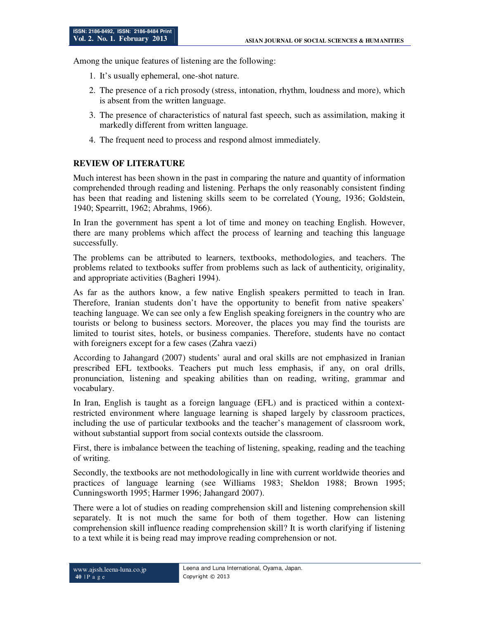Among the unique features of listening are the following:

- 1. It's usually ephemeral, one-shot nature.
- 2. The presence of a rich prosody (stress, intonation, rhythm, loudness and more), which is absent from the written language.
- 3. The presence of characteristics of natural fast speech, such as assimilation, making it markedly different from written language.
- 4. The frequent need to process and respond almost immediately.

# **REVIEW OF LITERATURE**

Much interest has been shown in the past in comparing the nature and quantity of information comprehended through reading and listening. Perhaps the only reasonably consistent finding has been that reading and listening skills seem to be correlated (Young, 1936; Goldstein, 1940; Spearritt, 1962; Abrahms, 1966).

In Iran the government has spent a lot of time and money on teaching English. However, there are many problems which affect the process of learning and teaching this language successfully.

The problems can be attributed to learners, textbooks, methodologies, and teachers. The problems related to textbooks suffer from problems such as lack of authenticity, originality, and appropriate activities (Bagheri 1994).

As far as the authors know, a few native English speakers permitted to teach in Iran. Therefore, Iranian students don't have the opportunity to benefit from native speakers' teaching language. We can see only a few English speaking foreigners in the country who are tourists or belong to business sectors. Moreover, the places you may find the tourists are limited to tourist sites, hotels, or business companies. Therefore, students have no contact with foreigners except for a few cases (Zahra vaezi)

According to Jahangard (2007) students' aural and oral skills are not emphasized in Iranian prescribed EFL textbooks. Teachers put much less emphasis, if any, on oral drills, pronunciation, listening and speaking abilities than on reading, writing, grammar and vocabulary.

In Iran, English is taught as a foreign language (EFL) and is practiced within a contextrestricted environment where language learning is shaped largely by classroom practices, including the use of particular textbooks and the teacher's management of classroom work, without substantial support from social contexts outside the classroom.

First, there is imbalance between the teaching of listening, speaking, reading and the teaching of writing.

Secondly, the textbooks are not methodologically in line with current worldwide theories and practices of language learning (see Williams 1983; Sheldon 1988; Brown 1995; Cunningsworth 1995; Harmer 1996; Jahangard 2007).

There were a lot of studies on reading comprehension skill and listening comprehension skill separately. It is not much the same for both of them together. How can listening comprehension skill influence reading comprehension skill? It is worth clarifying if listening to a text while it is being read may improve reading comprehension or not.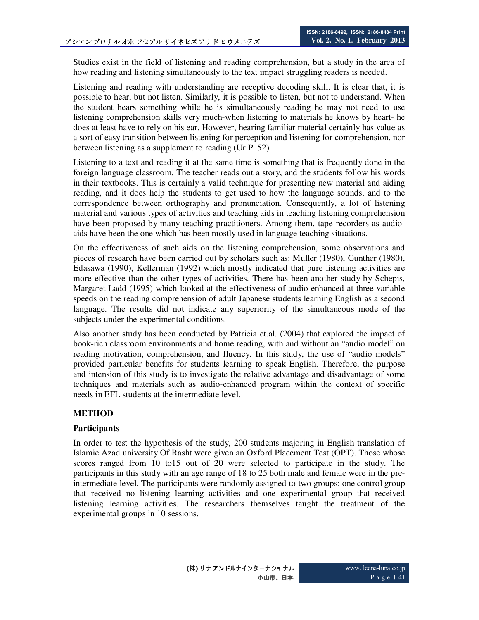Studies exist in the field of listening and reading comprehension, but a study in the area of how reading and listening simultaneously to the text impact struggling readers is needed.

Listening and reading with understanding are receptive decoding skill. It is clear that, it is possible to hear, but not listen. Similarly, it is possible to listen, but not to understand. When the student hears something while he is simultaneously reading he may not need to use listening comprehension skills very much-when listening to materials he knows by heart- he does at least have to rely on his ear. However, hearing familiar material certainly has value as a sort of easy transition between listening for perception and listening for comprehension, nor between listening as a supplement to reading (Ur.P. 52).

Listening to a text and reading it at the same time is something that is frequently done in the foreign language classroom. The teacher reads out a story, and the students follow his words in their textbooks. This is certainly a valid technique for presenting new material and aiding reading, and it does help the students to get used to how the language sounds, and to the correspondence between orthography and pronunciation. Consequently, a lot of listening material and various types of activities and teaching aids in teaching listening comprehension have been proposed by many teaching practitioners. Among them, tape recorders as audioaids have been the one which has been mostly used in language teaching situations.

On the effectiveness of such aids on the listening comprehension, some observations and pieces of research have been carried out by scholars such as: Muller (1980), Gunther (1980), Edasawa (1990), Kellerman (1992) which mostly indicated that pure listening activities are more effective than the other types of activities. There has been another study by Schepis, Margaret Ladd (1995) which looked at the effectiveness of audio-enhanced at three variable speeds on the reading comprehension of adult Japanese students learning English as a second language. The results did not indicate any superiority of the simultaneous mode of the subjects under the experimental conditions.

Also another study has been conducted by Patricia et.al. (2004) that explored the impact of book-rich classroom environments and home reading, with and without an "audio model" on reading motivation, comprehension, and fluency. In this study, the use of "audio models" provided particular benefits for students learning to speak English. Therefore, the purpose and intension of this study is to investigate the relative advantage and disadvantage of some techniques and materials such as audio-enhanced program within the context of specific needs in EFL students at the intermediate level.

# **METHOD**

# **Participants**

In order to test the hypothesis of the study, 200 students majoring in English translation of Islamic Azad university Of Rasht were given an Oxford Placement Test (OPT). Those whose scores ranged from 10 to15 out of 20 were selected to participate in the study. The participants in this study with an age range of 18 to 25 both male and female were in the preintermediate level. The participants were randomly assigned to two groups: one control group that received no listening learning activities and one experimental group that received listening learning activities. The researchers themselves taught the treatment of the experimental groups in 10 sessions.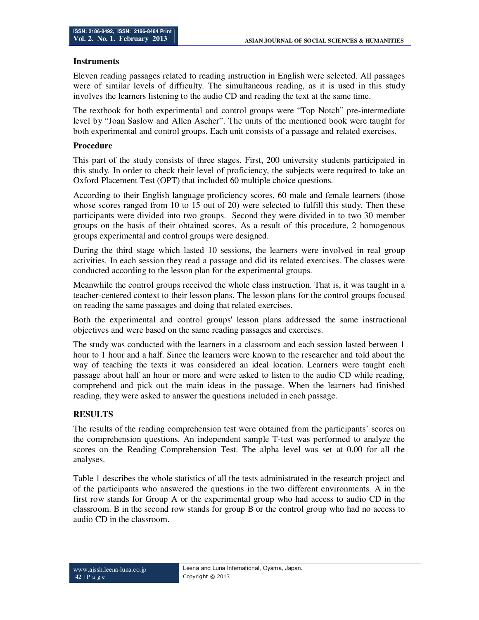#### **Instruments**

Eleven reading passages related to reading instruction in English were selected. All passages were of similar levels of difficulty. The simultaneous reading, as it is used in this study involves the learners listening to the audio CD and reading the text at the same time.

The textbook for both experimental and control groups were "Top Notch" pre-intermediate level by "Joan Saslow and Allen Ascher". The units of the mentioned book were taught for both experimental and control groups. Each unit consists of a passage and related exercises.

#### **Procedure**

This part of the study consists of three stages. First, 200 university students participated in this study. In order to check their level of proficiency, the subjects were required to take an Oxford Placement Test (OPT) that included 60 multiple choice questions.

According to their English language proficiency scores, 60 male and female learners (those whose scores ranged from 10 to 15 out of 20) were selected to fulfill this study. Then these participants were divided into two groups. Second they were divided in to two 30 member groups on the basis of their obtained scores. As a result of this procedure, 2 homogenous groups experimental and control groups were designed.

During the third stage which lasted 10 sessions, the learners were involved in real group activities. In each session they read a passage and did its related exercises. The classes were conducted according to the lesson plan for the experimental groups.

Meanwhile the control groups received the whole class instruction. That is, it was taught in a teacher-centered context to their lesson plans. The lesson plans for the control groups focused on reading the same passages and doing that related exercises.

Both the experimental and control groups' lesson plans addressed the same instructional objectives and were based on the same reading passages and exercises.

The study was conducted with the learners in a classroom and each session lasted between 1 hour to 1 hour and a half. Since the learners were known to the researcher and told about the way of teaching the texts it was considered an ideal location. Learners were taught each passage about half an hour or more and were asked to listen to the audio CD while reading, comprehend and pick out the main ideas in the passage. When the learners had finished reading, they were asked to answer the questions included in each passage.

# **RESULTS**

The results of the reading comprehension test were obtained from the participants' scores on the comprehension questions. An independent sample T-test was performed to analyze the scores on the Reading Comprehension Test. The alpha level was set at 0.00 for all the analyses.

Table 1 describes the whole statistics of all the tests administrated in the research project and of the participants who answered the questions in the two different environments. A in the first row stands for Group A or the experimental group who had access to audio CD in the classroom. B in the second row stands for group B or the control group who had no access to audio CD in the classroom.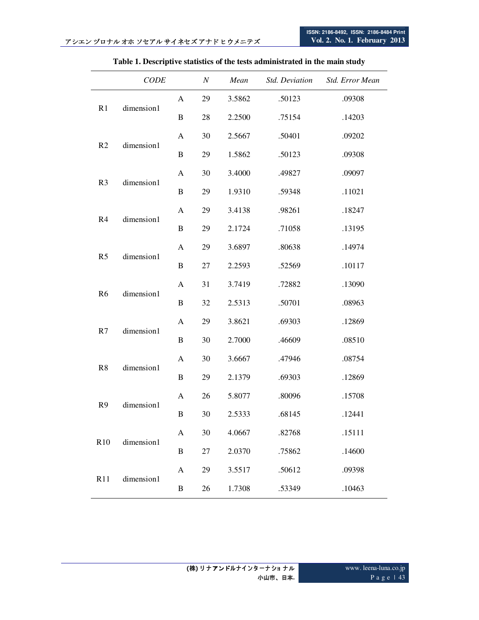|                | <b>CODE</b> |              | $\it N$ | Mean   | <b>Std.</b> Deviation | Std. Error Mean |
|----------------|-------------|--------------|---------|--------|-----------------------|-----------------|
| R1             | dimension1  | A            | 29      | 3.5862 | .50123                | .09308          |
|                |             | $\bf{B}$     | 28      | 2.2500 | .75154                | .14203          |
|                |             | A            | 30      | 2.5667 | .50401                | .09202          |
| R <sub>2</sub> | dimension1  | $\bf{B}$     | 29      | 1.5862 | .50123                | .09308          |
| R <sub>3</sub> | dimension1  | $\mathbf{A}$ | 30      | 3.4000 | .49827                | .09097          |
|                |             | $\bf{B}$     | 29      | 1.9310 | .59348                | .11021          |
|                | dimension1  | A            | 29      | 3.4138 | .98261                | .18247          |
| R4             |             | $\bf{B}$     | 29      | 2.1724 | .71058                | .13195          |
| R <sub>5</sub> | dimension1  | $\mathbf{A}$ | 29      | 3.6897 | .80638                | .14974          |
|                |             | B            | 27      | 2.2593 | .52569                | .10117          |
|                | dimension1  | A            | 31      | 3.7419 | .72882                | .13090          |
| R <sub>6</sub> |             | $\bf{B}$     | 32      | 2.5313 | .50701                | .08963          |
|                | dimension1  | A            | 29      | 3.8621 | .69303                | .12869          |
| R7             |             | $\bf{B}$     | 30      | 2.7000 | .46609                | .08510          |
| R8             |             | A            | 30      | 3.6667 | .47946                | .08754          |
|                | dimension1  | $\, {\bf B}$ | 29      | 2.1379 | .69303                | .12869          |
|                | dimension1  | $\mathbf{A}$ | 26      | 5.8077 | .80096                | .15708          |
| R <sub>9</sub> |             | $\, {\bf B}$ | 30      | 2.5333 | .68145                | .12441          |
|                | dimension1  | A            | 30      | 4.0667 | .82768                | .15111          |
| R10            |             | $\, {\bf B}$ | 27      | 2.0370 | .75862                | .14600          |
|                |             | $\mathbf{A}$ | 29      | 3.5517 | .50612                | .09398          |
| R11            | dimension1  | $\, {\bf B}$ | 26      | 1.7308 | .53349                | .10463          |

# **Table 1. Descriptive statistics of the tests administrated in the main study**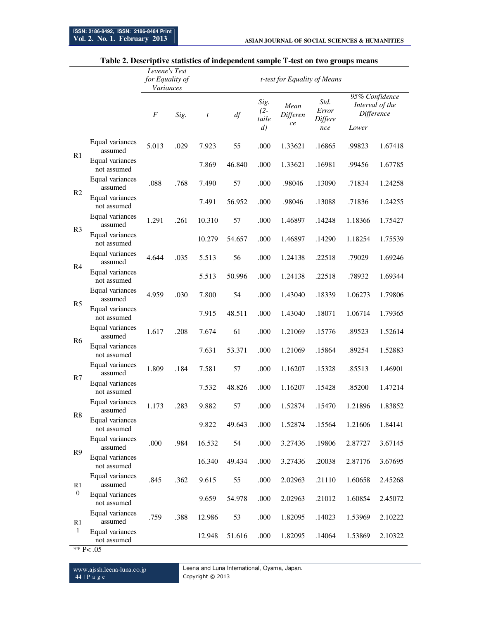|                  |                                |          | Levene's Test<br>for Equality of<br>t-test for Equality of Means<br>Variances |                  |        |                         |                  |                          |         |                                                 |
|------------------|--------------------------------|----------|-------------------------------------------------------------------------------|------------------|--------|-------------------------|------------------|--------------------------|---------|-------------------------------------------------|
|                  |                                | $\cal F$ | Sig.                                                                          | $\boldsymbol{t}$ | df     | Sig.<br>$(2 -$<br>taile | Mean<br>Differen | Std.<br>Error<br>Differe |         | 95% Confidence<br>Interval of the<br>Difference |
|                  |                                |          |                                                                               |                  |        | $\left( d\right)$       | ce               | nce                      | Lower   |                                                 |
| R1               | Equal variances<br>assumed     | 5.013    | .029                                                                          | 7.923            | 55     | .000                    | 1.33621          | .16865                   | .99823  | 1.67418                                         |
|                  | Equal variances<br>not assumed |          |                                                                               | 7.869            | 46.840 | .000                    | 1.33621          | .16981                   | .99456  | 1.67785                                         |
| R <sub>2</sub>   | Equal variances<br>assumed     | .088     | .768                                                                          | 7.490            | 57     | .000                    | .98046           | .13090                   | .71834  | 1.24258                                         |
|                  | Equal variances<br>not assumed |          |                                                                               | 7.491            | 56.952 | .000                    | .98046           | .13088                   | .71836  | 1.24255                                         |
| R <sub>3</sub>   | Equal variances<br>assumed     | 1.291    | .261                                                                          | 10.310           | 57     | .000                    | 1.46897          | .14248                   | 1.18366 | 1.75427                                         |
|                  | Equal variances<br>not assumed |          |                                                                               | 10.279           | 54.657 | .000                    | 1.46897          | .14290                   | 1.18254 | 1.75539                                         |
| R <sub>4</sub>   | Equal variances<br>assumed     | 4.644    | .035                                                                          | 5.513            | 56     | .000                    | 1.24138          | .22518                   | .79029  | 1.69246                                         |
|                  | Equal variances<br>not assumed |          |                                                                               | 5.513            | 50.996 | .000                    | 1.24138          | .22518                   | .78932  | 1.69344                                         |
| R <sub>5</sub>   | Equal variances<br>assumed     | 4.959    | .030                                                                          | 7.800            | 54     | .000                    | 1.43040          | .18339                   | 1.06273 | 1.79806                                         |
|                  | Equal variances<br>not assumed |          |                                                                               | 7.915            | 48.511 | .000                    | 1.43040          | .18071                   | 1.06714 | 1.79365                                         |
| R <sub>6</sub>   | Equal variances<br>assumed     | 1.617    | .208                                                                          | 7.674            | 61     | .000                    | 1.21069          | .15776                   | .89523  | 1.52614                                         |
|                  | Equal variances<br>not assumed |          |                                                                               | 7.631            | 53.371 | .000                    | 1.21069          | .15864                   | .89254  | 1.52883                                         |
| R7               | Equal variances<br>assumed     | 1.809    | .184                                                                          | 7.581            | 57     | .000                    | 1.16207          | .15328                   | .85513  | 1.46901                                         |
|                  | Equal variances<br>not assumed |          |                                                                               | 7.532            | 48.826 | .000                    | 1.16207          | .15428                   | .85200  | 1.47214                                         |
| R8               | Equal variances<br>assumed     | 1.173    | .283                                                                          | 9.882            | 57     | .000                    | 1.52874          | .15470                   | 1.21896 | 1.83852                                         |
|                  | Equal variances<br>not assumed |          |                                                                               | 9.822            | 49.643 | .000                    | 1.52874          | .15564                   | 1.21606 | 1.84141                                         |
| R <sub>9</sub>   | Equal variances<br>assumed     | .000     | .984                                                                          | 16.532           | 54     | .000                    | 3.27436          | .19806                   | 2.87727 | 3.67145                                         |
|                  | Equal variances<br>not assumed |          |                                                                               | 16.340           | 49.434 | .000                    | 3.27436          | .20038                   | 2.87176 | 3.67695                                         |
| R1               | Equal variances<br>assumed     | .845     | .362                                                                          | 9.615            | 55     | .000                    | 2.02963          | .21110                   | 1.60658 | 2.45268                                         |
| $\boldsymbol{0}$ | Equal variances<br>not assumed |          |                                                                               | 9.659            | 54.978 | .000                    | 2.02963          | .21012                   | 1.60854 | 2.45072                                         |
| R1               | Equal variances<br>assumed     | .759     | .388                                                                          | 12.986           | 53     | .000                    | 1.82095          | .14023                   | 1.53969 | 2.10222                                         |
| $\mathbf{1}$     | Equal variances<br>not assumed |          |                                                                               | 12.948           | 51.616 | .000                    | 1.82095          | .14064                   | 1.53869 | 2.10322                                         |

#### **Table 2. Descriptive statistics of independent sample T-test on two groups means**

 $*$  P< .05

www.ajssh.leena-luna.co.jp **44** | P a g e

Leena and Luna International, Oyama, Japan. Copyright © 2013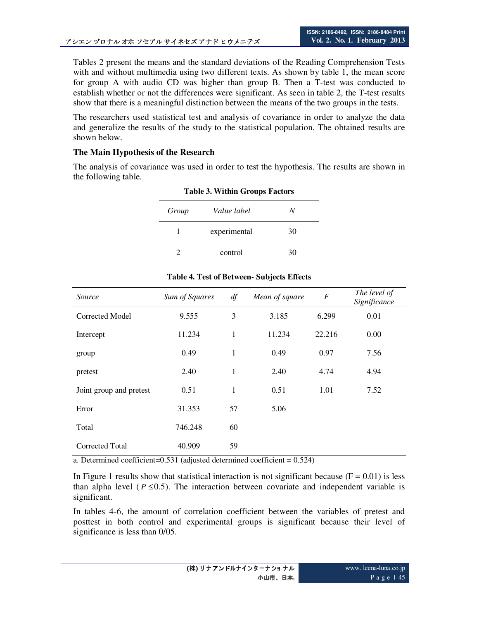Tables 2 present the means and the standard deviations of the Reading Comprehension Tests with and without multimedia using two different texts. As shown by table 1, the mean score for group A with audio CD was higher than group B. Then a T-test was conducted to establish whether or not the differences were significant. As seen in table 2, the T-test results show that there is a meaningful distinction between the means of the two groups in the tests.

The researchers used statistical test and analysis of covariance in order to analyze the data and generalize the results of the study to the statistical population. The obtained results are shown below.

### **The Main Hypothesis of the Research**

The analysis of covariance was used in order to test the hypothesis. The results are shown in the following table.

| Group | Value label  | N  |
|-------|--------------|----|
|       | experimental | 30 |
|       | control      | 30 |

| <b>Table 3. Within Groups Factors</b> |  |  |  |
|---------------------------------------|--|--|--|
|---------------------------------------|--|--|--|

#### **Table 4. Test of Between- Subjects Effects**

| Source                  | Sum of Squares | df           | Mean of square | $\boldsymbol{F}$ | The level of<br>Significance |
|-------------------------|----------------|--------------|----------------|------------------|------------------------------|
| Corrected Model         | 9.555          | 3            | 3.185          | 6.299            | 0.01                         |
| Intercept               | 11.234         | 1            | 11.234         | 22.216           | 0.00                         |
| group                   | 0.49           | $\mathbf{1}$ | 0.49           | 0.97             | 7.56                         |
| pretest                 | 2.40           | 1            | 2.40           | 4.74             | 4.94                         |
| Joint group and pretest | 0.51           | $\mathbf{1}$ | 0.51           | 1.01             | 7.52                         |
| Error                   | 31.353         | 57           | 5.06           |                  |                              |
| Total                   | 746.248        | 60           |                |                  |                              |
| <b>Corrected Total</b>  | 40.909         | 59           |                |                  |                              |

a. Determined coefficient= $0.531$  (adjusted determined coefficient =  $0.524$ )

In Figure 1 results show that statistical interaction is not significant because  $(F = 0.01)$  is less than alpha level ( $P \le 0.5$ ). The interaction between covariate and independent variable is significant.

In tables 4-6, the amount of correlation coefficient between the variables of pretest and posttest in both control and experimental groups is significant because their level of significance is less than 0/05.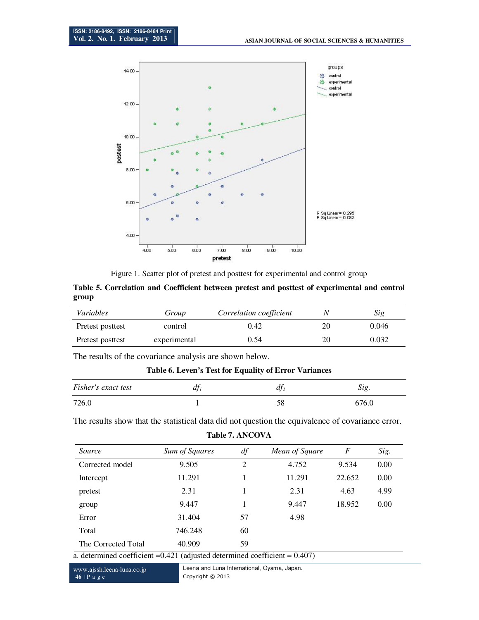

Figure 1. Scatter plot of pretest and posttest for experimental and control group

**Table 5. Correlation and Coefficient between pretest and posttest of experimental and control group** 

| Variables        | Group        | Correlation coefficient | Sig   |
|------------------|--------------|-------------------------|-------|
| Pretest posttest | control      | 0.42                    | 0.046 |
| Pretest posttest | experimental | 0.54                    | 0.032 |

The results of the covariance analysis are shown below.

**Table 6. Leven's Test for Equality of Error Variances** 

| Fisher's exact test | uj i | $a_{J_2}$ | Sig.  |
|---------------------|------|-----------|-------|
| 726.0               |      | 58        | 576.0 |

The results show that the statistical data did not question the equivalence of covariance error.

| Sum of Squares | df | Mean of Square | F      | Sig. |
|----------------|----|----------------|--------|------|
| 9.505          | 2  | 4.752          | 9.534  | 0.00 |
| 11.291         |    | 11.291         | 22.652 | 0.00 |
| 2.31           |    | 2.31           | 4.63   | 4.99 |
| 9.447          |    | 9.447          | 18.952 | 0.00 |
| 31.404         | 57 | 4.98           |        |      |
| 746.248        | 60 |                |        |      |
| 40.909         | 59 |                |        |      |
|                |    |                |        |      |

**Table 7. ANCOVA** 

www.ajssh.leena-luna.co.jp **46** | P a g e

Leena and Luna International, Oyama, Japan. Copyright © 2013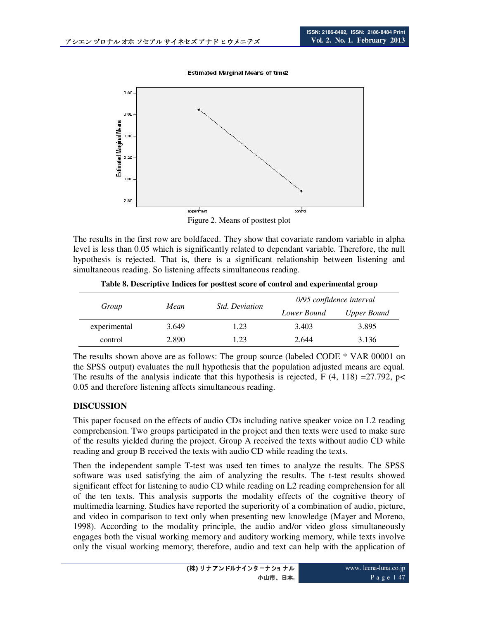Estimated Marginal Means of time2



Figure 2. Means of posttest plot

The results in the first row are boldfaced. They show that covariate random variable in alpha level is less than 0.05 which is significantly related to dependant variable. Therefore, the null hypothesis is rejected. That is, there is a significant relationship between listening and simultaneous reading. So listening affects simultaneous reading.

**Table 8. Descriptive Indices for posttest score of control and experimental group** 

|              | Mean  | <i>Std. Deviation</i> | 0/95 confidence interval |             |  |
|--------------|-------|-----------------------|--------------------------|-------------|--|
| Group        |       |                       | Lower Bound              | Upper Bound |  |
| experimental | 3.649 | 1.23                  | 3.403                    | 3.895       |  |
| control      | 2.890 | 1.23                  | 2.644                    | 3.136       |  |

The results shown above are as follows: The group source (labeled CODE \* VAR 00001 on the SPSS output) evaluates the null hypothesis that the population adjusted means are equal. The results of the analysis indicate that this hypothesis is rejected, F  $(4, 118) = 27.792$ , p< 0.05 and therefore listening affects simultaneous reading.

### **DISCUSSION**

This paper focused on the effects of audio CDs including native speaker voice on L2 reading comprehension. Two groups participated in the project and then texts were used to make sure of the results yielded during the project. Group A received the texts without audio CD while reading and group B received the texts with audio CD while reading the texts.

Then the independent sample T-test was used ten times to analyze the results. The SPSS software was used satisfying the aim of analyzing the results. The t-test results showed significant effect for listening to audio CD while reading on L2 reading comprehension for all of the ten texts. This analysis supports the modality effects of the cognitive theory of multimedia learning. Studies have reported the superiority of a combination of audio, picture, and video in comparison to text only when presenting new knowledge (Mayer and Moreno, 1998). According to the modality principle, the audio and/or video gloss simultaneously engages both the visual working memory and auditory working memory, while texts involve only the visual working memory; therefore, audio and text can help with the application of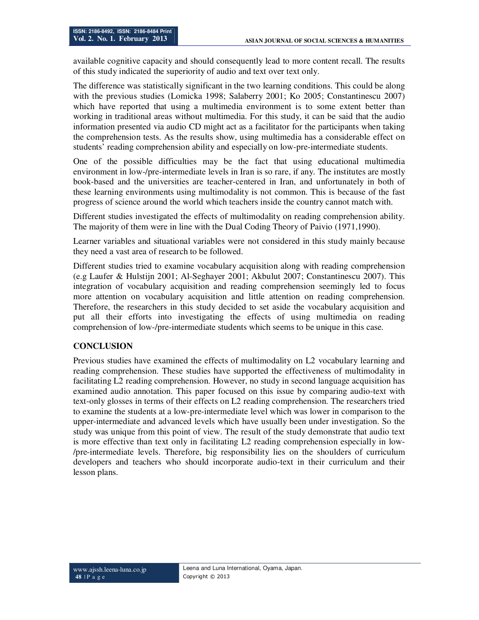available cognitive capacity and should consequently lead to more content recall. The results of this study indicated the superiority of audio and text over text only.

The difference was statistically significant in the two learning conditions. This could be along with the previous studies (Lomicka 1998; Salaberry 2001; Ko 2005; Constantinescu 2007) which have reported that using a multimedia environment is to some extent better than working in traditional areas without multimedia. For this study, it can be said that the audio information presented via audio CD might act as a facilitator for the participants when taking the comprehension tests. As the results show, using multimedia has a considerable effect on students' reading comprehension ability and especially on low-pre-intermediate students.

One of the possible difficulties may be the fact that using educational multimedia environment in low-/pre-intermediate levels in Iran is so rare, if any. The institutes are mostly book-based and the universities are teacher-centered in Iran, and unfortunately in both of these learning environments using multimodality is not common. This is because of the fast progress of science around the world which teachers inside the country cannot match with.

Different studies investigated the effects of multimodality on reading comprehension ability. The majority of them were in line with the Dual Coding Theory of Paivio (1971,1990).

Learner variables and situational variables were not considered in this study mainly because they need a vast area of research to be followed.

Different studies tried to examine vocabulary acquisition along with reading comprehension (e.g Laufer & Hulstijn 2001; Al-Seghayer 2001; Akbulut 2007; Constantinescu 2007). This integration of vocabulary acquisition and reading comprehension seemingly led to focus more attention on vocabulary acquisition and little attention on reading comprehension. Therefore, the researchers in this study decided to set aside the vocabulary acquisition and put all their efforts into investigating the effects of using multimedia on reading comprehension of low-/pre-intermediate students which seems to be unique in this case.

# **CONCLUSION**

Previous studies have examined the effects of multimodality on L2 vocabulary learning and reading comprehension. These studies have supported the effectiveness of multimodality in facilitating L2 reading comprehension. However, no study in second language acquisition has examined audio annotation. This paper focused on this issue by comparing audio-text with text-only glosses in terms of their effects on L2 reading comprehension. The researchers tried to examine the students at a low-pre-intermediate level which was lower in comparison to the upper-intermediate and advanced levels which have usually been under investigation. So the study was unique from this point of view. The result of the study demonstrate that audio text is more effective than text only in facilitating L2 reading comprehension especially in low- /pre-intermediate levels. Therefore, big responsibility lies on the shoulders of curriculum developers and teachers who should incorporate audio-text in their curriculum and their lesson plans.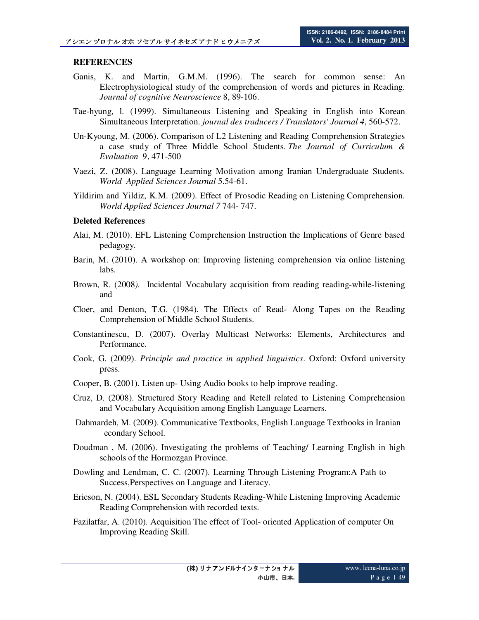### **REFERENCES**

- Ganis, K. and Martin, G.M.M. (1996). The search for common sense: An Electrophysiological study of the comprehension of words and pictures in Reading. *Journal of cognitive Neuroscience* 8, 89-106.
- Tae-hyung, l. (1999). Simultaneous Listening and Speaking in English into Korean Simultaneous Interpretation. *journal des traducers / Translators' Journal 4*, 560-572.
- Un-Kyoung, M. (2006). Comparison of L2 Listening and Reading Comprehension Strategies a case study of Three Middle School Students. *The Journal of Curriculum & Evaluation* 9, 471-500
- Vaezi, Z. (2008). Language Learning Motivation among Iranian Undergraduate Students. *World Applied Sciences Journal* 5.54-61.
- Yildirim and Yildiz, K.M. (2009). Effect of Prosodic Reading on Listening Comprehension. *World Applied Sciences Journal 7* 744- 747.

#### **Deleted References**

- Alai, M. (2010). EFL Listening Comprehension Instruction the Implications of Genre based pedagogy.
- Barin, M. (2010). A workshop on: Improving listening comprehension via online listening labs.
- Brown, R. (2008*).* Incidental Vocabulary acquisition from reading reading-while-listening and
- Cloer, and Denton, T.G. (1984). The Effects of Read- Along Tapes on the Reading Comprehension of Middle School Students.
- Constantinescu, D. (2007). Overlay Multicast Networks: Elements, Architectures and Performance.
- Cook, G. (2009). *Principle and practice in applied linguistics*. Oxford: Oxford university press.
- Cooper, B. (2001). Listen up- Using Audio books to help improve reading.
- Cruz, D. (2008). Structured Story Reading and Retell related to Listening Comprehension and Vocabulary Acquisition among English Language Learners.
- Dahmardeh, M. (2009). Communicative Textbooks, English Language Textbooks in Iranian econdary School.
- Doudman , M. (2006). Investigating the problems of Teaching/ Learning English in high schools of the Hormozgan Province.
- Dowling and Lendman, C. C. (2007). Learning Through Listening Program:A Path to Success,Perspectives on Language and Literacy.
- Ericson, N. (2004). ESL Secondary Students Reading-While Listening Improving Academic Reading Comprehension with recorded texts.
- Fazilatfar, A. (2010). Acquisition The effect of Tool- oriented Application of computer On Improving Reading Skill.